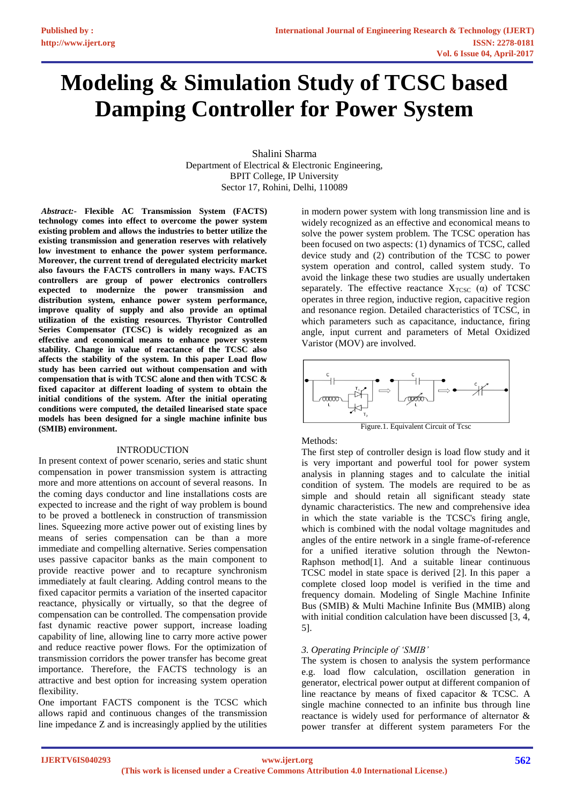# **Modeling & Simulation Study of TCSC based Damping Controller for Power System**

Shalini Sharma Department of Electrical & Electronic Engineering, BPIT College, IP University Sector 17, Rohini, Delhi, 110089

*Abstract:-* **Flexible AC Transmission System (FACTS) technology comes into effect to overcome the power system existing problem and allows the industries to better utilize the existing transmission and generation reserves with relatively low investment to enhance the power system performance. Moreover, the current trend of deregulated electricity market also favours the FACTS controllers in many ways. FACTS controllers are group of power electronics controllers expected to modernize the power transmission and distribution system, enhance power system performance, improve quality of supply and also provide an optimal utilization of the existing resources. Thyristor Controlled Series Compensator (TCSC) is widely recognized as an effective and economical means to enhance power system stability. Change in value of reactance of the TCSC also affects the stability of the system. In this paper Load flow study has been carried out without compensation and with compensation that is with TCSC alone and then with TCSC & fixed capacitor at different loading of system to obtain the initial conditions of the system. After the initial operating conditions were computed, the detailed linearised state space models has been designed for a single machine infinite bus (SMIB) environment.**

#### INTRODUCTION

In present context of power scenario, series and static shunt compensation in power transmission system is attracting more and more attentions on account of several reasons. In the coming days conductor and line installations costs are expected to increase and the right of way problem is bound to be proved a bottleneck in construction of transmission lines. Squeezing more active power out of existing lines by means of series compensation can be than a more immediate and compelling alternative. Series compensation uses passive capacitor banks as the main component to provide reactive power and to recapture synchronism immediately at fault clearing. Adding control means to the fixed capacitor permits a variation of the inserted capacitor reactance, physically or virtually, so that the degree of compensation can be controlled. The compensation provide fast dynamic reactive power support, increase loading capability of line, allowing line to carry more active power and reduce reactive power flows. For the optimization of transmission corridors the power transfer has become great importance. Therefore, the FACTS technology is an attractive and best option for increasing system operation flexibility.

One important FACTS component is the TCSC which allows rapid and continuous changes of the transmission line impedance Z and is increasingly applied by the utilities

in modern power system with long transmission line and is widely recognized as an effective and economical means to solve the power system problem. The TCSC operation has been focused on two aspects: (1) dynamics of TCSC, called device study and (2) contribution of the TCSC to power system operation and control, called system study. To avoid the linkage these two studies are usually undertaken separately. The effective reactance  $X_{TCSC}$  ( $\alpha$ ) of TCSC operates in three region, inductive region, capacitive region and resonance region. Detailed characteristics of TCSC, in which parameters such as capacitance, inductance, firing angle, input current and parameters of Metal Oxidized Varistor (MOV) are involved.



# Methods:

The first step of controller design is load flow study and it is very important and powerful tool for power system analysis in planning stages and to calculate the initial condition of system. The models are required to be as simple and should retain all significant steady state dynamic characteristics. The new and comprehensive idea in which the state variable is the TCSC's firing angle, which is combined with the nodal voltage magnitudes and angles of the entire network in a single frame-of-reference for a unified iterative solution through the Newton-Raphson method[1]. And a suitable linear continuous TCSC model in state space is derived [2]. In this paper a complete closed loop model is verified in the time and frequency domain. Modeling of Single Machine Infinite Bus (SMIB) & Multi Machine Infinite Bus (MMIB) along with initial condition calculation have been discussed [3, 4, 5].

# *3. Operating Principle of 'SMIB'*

The system is chosen to analysis the system performance e.g. load flow calculation, oscillation generation in generator, electrical power output at different companion of line reactance by means of fixed capacitor & TCSC. A single machine connected to an infinite bus through line reactance is widely used for performance of alternator & power transfer at different system parameters For the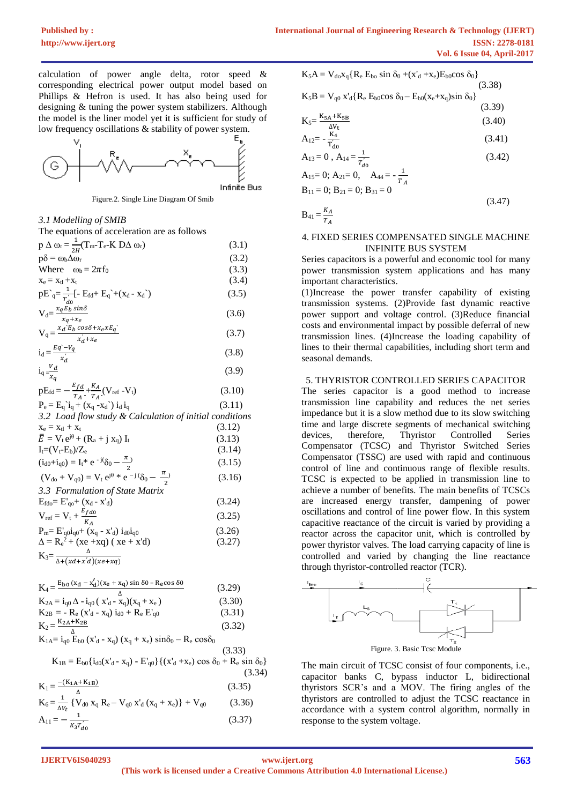calculation of power angle delta, rotor speed & corresponding electrical power output model based on Phillips & Hefron is used. It has also being used for designing & tuning the power system stabilizers. Although the model is the liner model yet it is sufficient for study of low frequency oscillations & stability of power system.



Figure.2. Single Line Diagram Of Smib

*3.1 Modelling of SMIB*  The equations of acceleration are as follows  $p \Delta \omega_r = \frac{1}{2l}$  $\frac{1}{2H}(T_m-T_e-K \text{ }D\Delta \omega_r)$  (3.1)  $p\delta = \omega_b \Delta \omega_r$  (3.2) Where  $\omega_b = 2\pi f_0$  (3.3)  $x_e = x_{t1} + x_t$  (3.4)  $pE\bigg\}=\frac{1}{r}$  $\frac{1}{T'_{d0}}$ [- E<sub>fd</sub>+ E<sub>q</sub><sup>2</sup>+(x<sub>d</sub>-x<sub>d</sub><sup>2</sup>) (3.5)  $V_d = \frac{x_q E_b \sin\delta}{x_d}$  $\frac{x_q + x_e}{x_q + x_e}$  (3.6)  $V_q = \frac{x_d E_b \cos\delta + x_e x E_q}{u' + u}$  $\frac{x'_d+x_e}{x'_d+x_e}$  (3.7)  $i_d = \frac{Eq - V_q}{V_q}$  *′* (3.8)  $i_q = \frac{V_d}{I}$  $x_q$  (3.9)  $pE_{\text{fd}} = -\frac{E_{fd}}{T}$  $\frac{E_{fd}}{T_A} + \frac{K_A}{T_A}$  $\frac{\kappa_A}{T_A}$  (V<sub>ref</sub> -V<sub>t</sub>) (3.10)  $P_e = E_q i_q + (x_q - x_d) i_d i_q$  (3.11) *3.2 Load flow study & Calculation of initial conditions*  $x_e = x_{t1} + x_t$  (3.12)  $\bar{E} = V_t e^{j\theta} + (R_a + j x_q) I_t$  (3.13)  $I_t = (V_t - E_b)/Z_e$  (3.14)  $(i_{d0}+i_{q0}) = I_t * e^{-j(\delta_0 - \frac{\pi}{\sigma})}$  $\frac{1}{2}$  (3.15)  $(V_{\text{do}} + V_{\text{q0}}) = V_{\text{t}} e^{j\theta} * e^{-j\theta} \delta_0 - \frac{\pi}{2}$ 2 ) (3.16)

| 3.3 Formulation of State Matrix                      |        |
|------------------------------------------------------|--------|
| $E_{\text{fdo}} = E'_{\text{qo}} + (x_d - x'_d)$     | (3.24) |
| $V_{ref} = V_t + \frac{E_{fd0}}{K_A}$                | (3.25) |
| $P_m = E'_{q0} i_{q0} + (x_q - x'_d) i_{d0} i_{q0}$  | (3.26) |
| $\Delta = R_e^2 + (xe + xq) (xe + x'd)$              | (3.27) |
| $K_3=\frac{1}{\Delta\left(\chi d+x'd\right)(xe+xq)}$ |        |

$$
K_{4} = \frac{E_{b0} (x_{d} - x'_{d})(x_{e} + x_{q}) \sin \delta 0 - R_{e} \cos \delta 0}{K_{2A} = i_{q0} \Delta - i_{q0} (x'_{d} - x_{q})(x_{q} + x_{e})}
$$
(3.29)  
\n
$$
K_{2B} = - R_{e} (x'_{d} - x_{q}) i_{d0} + R_{e} E'_{q0}
$$
(3.31)  
\n
$$
K_{2} = \frac{K_{2A} + K_{2B}}{\Delta}
$$
(3.32)  
\n
$$
K_{1A} = i_{q0} E_{b0} (x'_{d} - x_{q}) (x_{q} + x_{e}) \sin \delta_{0} - R_{e} \cos \delta_{0}
$$
(3.33)  
\n
$$
K_{1B} = E_{b0} \{ i_{d0} (x'_{d} - x_{q}) - E'_{q0} \} \{ (x'_{d} + x_{e}) \cos \delta_{0} + R_{e} \sin \delta_{0} \}
$$
(3.34)  
\n
$$
K_{1} = \frac{-(K_{1A} + K_{1B})}{\Delta}
$$
(3.35)  
\n
$$
K_{6} = \frac{1}{\Delta V_{t}} \{ V_{d0} x_{q} R_{e} - V_{q0} x'_{d} (x_{q} + x_{e}) \} + V_{q0}
$$
(3.36)  
\n
$$
A_{11} = -\frac{1}{K_{3} T'_{d0}}
$$
(3.37)

$$
K_5A = V_{do}x_q\{R_e E_{bo} \sin \delta_0 + (x_d' + x_e)E_{b0} \cos \delta_0\}
$$
\n(3.38)  
\n
$$
K_5B = V_{q0} x_d'\{R_e E_{b0} \cos \delta_0 - E_{b0}(x_e + x_q) \sin \delta_0\}
$$
\n(3.39)

$$
\zeta_5 = \frac{\kappa_{5A} + \kappa_{5B}}{\Delta t} \tag{3.40}
$$

$$
A_{12} = -\frac{R_4}{T_{d0}} \tag{3.41}
$$

$$
A_{13} = 0, A_{14} = \frac{1}{T'_{d0}}
$$
\n
$$
A_{15} = 0; A_{21} = 0, A_{44} = -\frac{1}{\pi}
$$
\n(3.42)

$$
A_{15}= 0
$$
;  $A_{21}= 0$ ,  $A_{44} = -\frac{1}{T_A}$   
 $B_{11} = 0$ ;  $B_{21} = 0$ ;  $B_{31} = 0$ 

 $T_A$ 

 $\overline{B}$ 

$$
B_{41} = \frac{K_A}{\pi} \tag{3.47}
$$

#### 4. FIXED SERIES COMPENSATED SINGLE MACHINE INFINITE BUS SYSTEM

Series capacitors is a powerful and economic tool for many power transmission system applications and has many important characteristics.

(1)Increase the power transfer capability of existing transmission systems. (2)Provide fast dynamic reactive power support and voltage control. (3)Reduce financial costs and environmental impact by possible deferral of new transmission lines. (4)Increase the loading capability of lines to their thermal capabilities, including short term and seasonal demands.

# 5. THYRISTOR CONTROLLED SERIES CAPACITOR

The series capacitor is a good method to increase transmission line capability and reduces the net series impedance but it is a slow method due to its slow switching time and large discrete segments of mechanical switching devices, therefore, Thyristor Controlled Series Compensator (TCSC) and Thyristor Switched Series Compensator (TSSC) are used with rapid and continuous control of line and continuous range of flexible results. TCSC is expected to be applied in transmission line to achieve a number of benefits. The main benefits of TCSCs are increased energy transfer, dampening of power oscillations and control of line power flow. In this system capacitive reactance of the circuit is varied by providing a reactor across the capacitor unit, which is controlled by power thyristor valves. The load carrying capacity of line is controlled and varied by changing the line reactance through thyristor-controlled reactor (TCR).



The main circuit of TCSC consist of four components, i.e., capacitor banks C, bypass inductor L, bidirectional thyristors SCR's and a MOV. The firing angles of the thyristors are controlled to adjust the TCSC reactance in accordance with a system control algorithm, normally in response to the system voltage.

**IJERTV6IS040293**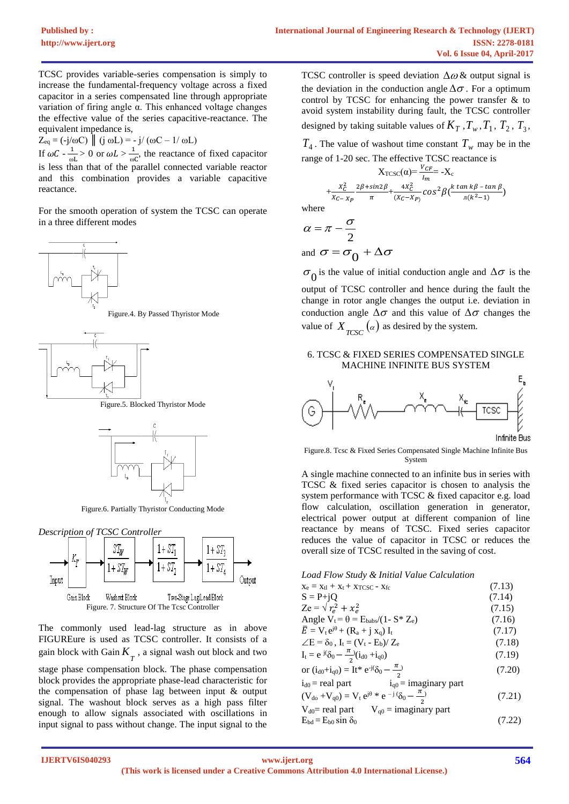TCSC provides variable-series compensation is simply to increase the fundamental-frequency voltage across a fixed capacitor in a series compensated line through appropriate variation of firing angle α. This enhanced voltage changes the effective value of the series capacitive-reactance. The equivalent impedance is,

 $Z_{\text{eq}} = (-j/\omega C) \parallel (j \omega L) = -j/(\omega C - 1/\omega L)$ If  $\omega C - \frac{1}{\omega}$  $\frac{1}{\omega L}$  > 0 or  $\omega L > \frac{1}{\omega}$  $\frac{1}{\omega C}$ , the reactance of fixed capacitor is less than that of the parallel connected variable reactor and this combination provides a variable capacitive reactance.

For the smooth operation of system the TCSC can operate in a three different modes



Figure.4. By Passed Thyristor Mode



Figure.5. Blocked Thyristor Mode



Figure.6. Partially Thyristor Conducting Mode





The commonly used lead-lag structure as in above FIGUREure is used as TCSC controller. It consists of a gain block with Gain  $K_{\gamma}$ , a signal wash out block and two

stage phase compensation block. The phase compensation block provides the appropriate phase-lead characteristic for the compensation of phase lag between input & output signal. The washout block serves as a high pass filter enough to allow signals associated with oscillations in input signal to pass without change. The input signal to the TCSC controller is speed deviation  $\Delta\omega$  & output signal is the deviation in the conduction angle  $\Delta\sigma$ . For a optimum control by TCSC for enhancing the power transfer  $\&$  to avoid system instability during fault, the TCSC controller designed by taking suitable values of  $K_T$ ,  $T_w$ ,  $T_1$ ,  $T_2$ ,  $T_3$ ,

 $T_4$ . The value of washout time constant  $T_w$  may be in the range of 1-20 sec. The effective TCSC reactance is

$$
X_{TCSC}(\alpha) = \frac{V_{CF}}{I_m} = -X_c
$$
  
+ $\frac{x_c^2}{X_{C-X_P}} = \frac{2\beta + \sin 2\beta}{\pi} + \frac{4x_c^2}{(X_C - X_P)} \cos^2 \beta \left(\frac{k \tan k\beta - \tan \beta}{\pi (k^2 - 1)}\right)$   
ee

wher

$$
\alpha = \pi - \frac{\sigma}{2}
$$

and  $\sigma = \sigma_0 + \Delta \sigma$ 

 $\sigma_0$  is the value of initial conduction angle and  $\Delta \sigma$  is the output of TCSC controller and hence during the fault the

change in rotor angle changes the output i.e. deviation in conduction angle  $\Delta\sigma$  and this value of  $\Delta\sigma$  changes the value of  $X_{TCSC}(\alpha)$  as desired by the system.

#### 6. TCSC & FIXED SERIES COMPENSATED SINGLE MACHINE INFINITE BUS SYSTEM



Figure.8. Tcsc & Fixed Series Compensated Single Machine Infinite Bus System

A single machine connected to an infinite bus in series with TCSC & fixed series capacitor is chosen to analysis the system performance with TCSC & fixed capacitor e.g. load flow calculation, oscillation generation in generator, electrical power output at different companion of line reactance by means of TCSC. Fixed series capacitor reduces the value of capacitor in TCSC or reduces the overall size of TCSC resulted in the saving of cost.

*Load Flow Study & Initial Value Calculation*

| $X_e = X_tI + X_t + XTCSC - Xfc$                                                         | (7.13) |
|------------------------------------------------------------------------------------------|--------|
| $S = P + iQ$                                                                             | (7.14) |
| $Ze = \sqrt{r_e^2 + x_e^2}$                                                              | (7.15) |
| Angle $V_t = \theta = E_{\text{babs}}/(1 - S^* Z_e)$                                     | (7.16) |
| $\overline{E} = V_t e^{j\theta} + (R_a + j x_q) I_t$                                     | (7.17) |
| $\angle E = \delta_0$ , $I_t = (V_t - E_b)/Z_e$                                          | (7.18) |
| $I_t = e^{j(\delta_0 - \frac{\pi}{2})}(i_{d0} + i_{q0})$                                 | (7.19) |
| or $(i_{d0}+i_{q0}) = It^* e^{-j(\delta_0 - \frac{\pi}{2})}$                             | (7.20) |
| $i_{d0}$ = real part<br>$i_{q0}$ = imaginary part                                        |        |
| $(V_{\text{do}} + V_{\text{q0}}) = V_t e^{j\theta} * e^{-j\theta} (S_0 - \frac{\pi}{2})$ | (7.21) |
| $V_{d0}$ real part $V_{q0}$ = imaginary part                                             |        |
|                                                                                          | $\sim$ |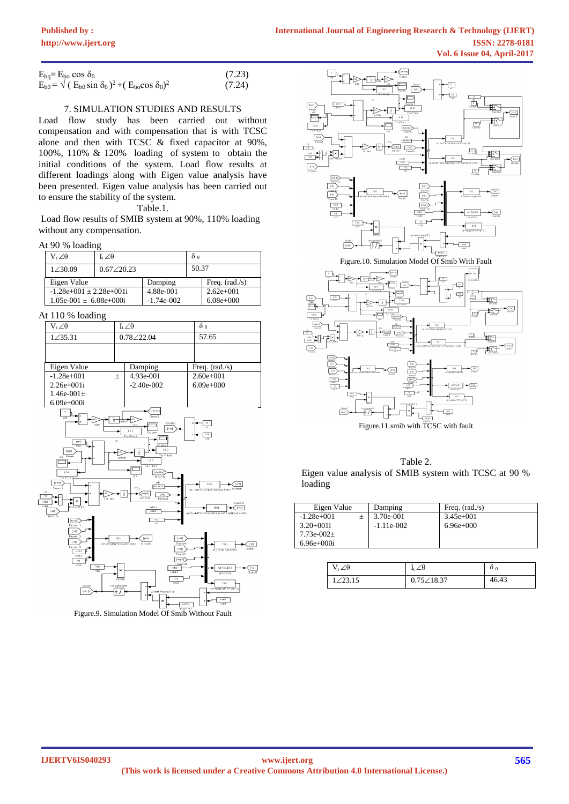| $E_{ba} = E_{ba} \cos \delta_0$                                       | (7.23) |
|-----------------------------------------------------------------------|--------|
| $E_{b0} = \sqrt{(E_{b0} \sin \delta_0)^2 + (E_{b0} \cos \delta_0)^2}$ | (7.24) |

## 7. SIMULATION STUDIES AND RESULTS

Load flow study has been carried out without compensation and with compensation that is with TCSC alone and then with TCSC & fixed capacitor at 90%, 100%, 110% & 120% loading of system to obtain the initial conditions of the system. Load flow results at different loadings along with Eigen value analysis have been presented. Eigen value analysis has been carried out to ensure the stability of the system.

Table.1.

Load flow results of SMIB system at 90%, 110% loading without any compensation.

### At 90 % loading

| $V_{i}\angle\theta$         | $I_{\rm t} \angle \theta$ |              | $\delta$ 0 |                  |
|-----------------------------|---------------------------|--------------|------------|------------------|
| 1∠30.09                     | 0.67 / 20.23              |              | 50.37      |                  |
| Eigen Value                 |                           | Damping      |            | Freq. $(rad./s)$ |
| $-1.28e+001 \pm 2.28e+001i$ |                           | 4.88e-001    |            | $2.62e+001$      |
| $1.05e-001 \pm 6.08e+000i$  |                           | $-1.74e-002$ |            | $6.08e + 000$    |

At 110 % loading





Table 2. Eigen value analysis of SMIB system with TCSC at 90 % loading

| Eigen Value           | Damping      | Freq. $(\text{rad./s})$ |
|-----------------------|--------------|-------------------------|
| $-1.28e+001$<br>$\pm$ | 3.70e-001    | $3.45e+001$             |
| $3.20+001i$           | $-1.11e-002$ | $6.96e+000$             |
| 7.73e-002 $\pm$       |              |                         |
| $6.96e+000i$          |              |                         |

| $\angle$ A | ∕Α                  | $\mathbf{0}$ 0 |
|------------|---------------------|----------------|
| 72315      | $0.75 \angle 18.37$ | 46.43          |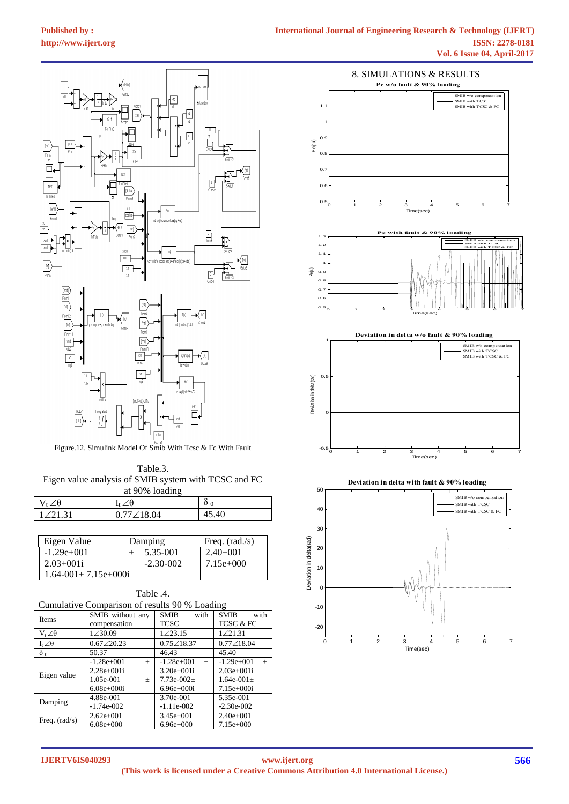

Figure.12. Simulink Model Of Smib With Tcsc & Fc With Fault

Table.3. Eigen value analysis of SMIB system with TCSC and FC at 90% loading

| J. /A     | ╱Ѳ<br>$\mathbf{I}$ + $\mathbf{A}$ | U(    |  |
|-----------|-----------------------------------|-------|--|
| 1 / 21 31 | $0.77 \angle 18.04$               | 45.40 |  |

| Eigen Value                  | Damping       | Freq. $(\text{rad./s})$ |
|------------------------------|---------------|-------------------------|
| $-1.29e+001$                 | 5.35-001      | $2.40 + 001$            |
| $2.03 + 0.01i$               | $-2.30 - 002$ | $7.15e+000$             |
| $1.64 - 001 \pm 7.15$ e+000i |               |                         |

| Table .4.                                     |                     |                        |                     |  |
|-----------------------------------------------|---------------------|------------------------|---------------------|--|
| Cumulative Comparison of results 90 % Loading |                     |                        |                     |  |
| <b>Items</b>                                  | SMIB without any    | <b>SMIB</b><br>with    | <b>SMIB</b><br>with |  |
|                                               | compensation        | <b>TCSC</b>            | TCSC & FC           |  |
| $V_{t} \angle \theta$                         | $1 \angle 30.09$    | $1 \angle 23.15$       | 1/21.31             |  |
| $I_t \angle \theta$                           | $0.67 \angle 20.23$ | $0.75\angle 18.37$     | $0.77 \angle 18.04$ |  |
| $\delta_0$                                    | 50.37               | 46.43                  | 45.40               |  |
|                                               | $-1.28e+001$<br>$+$ | $-1.28e+001$<br>$^{+}$ | $-1.29e+001$<br>$+$ |  |
| Eigen value                                   | $2.28e+001i$        | $3.20e+001i$           | $2.03e+001i$        |  |
|                                               | 1.05e-001<br>$+$    | $7.73e-002+$           | $1.64e-001+$        |  |
|                                               | $6.08e+0.00i$       | $6.96e+000i$           | $7.15e+000i$        |  |
| Damping                                       | 4.88e-001           | 3.70e-001              | 5.35e-001           |  |
|                                               | $-1.74e-002$        | $-1.11e-002$           | $-2.30e-002$        |  |
| Freq. $(\text{rad/s})$                        | $2.62e+001$         | $3.45e+001$            | $2.40e+001$         |  |
|                                               | $6.08e + 000$       | $6.96e+000$            | $7.15e+000$         |  |
|                                               |                     |                        |                     |  |